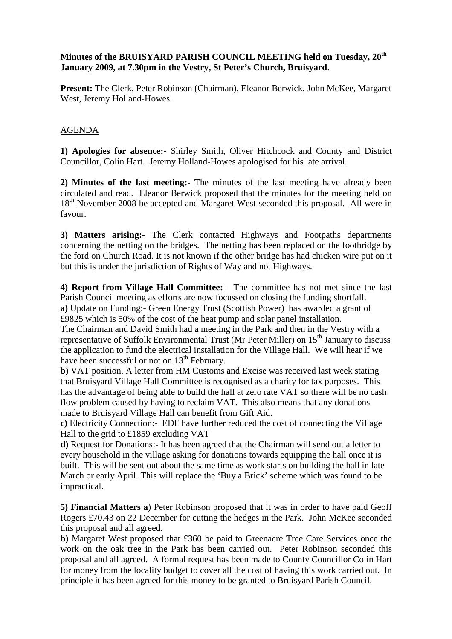## **Minutes of the BRUISYARD PARISH COUNCIL MEETING held on Tuesday, 20th January 2009, at 7.30pm in the Vestry, St Peter's Church, Bruisyard**.

**Present:** The Clerk, Peter Robinson (Chairman), Eleanor Berwick, John McKee, Margaret West, Jeremy Holland-Howes.

## AGENDA

**1) Apologies for absence:-** Shirley Smith, Oliver Hitchcock and County and District Councillor, Colin Hart. Jeremy Holland-Howes apologised for his late arrival.

**2) Minutes of the last meeting:-** The minutes of the last meeting have already been circulated and read. Eleanor Berwick proposed that the minutes for the meeting held on 18<sup>th</sup> November 2008 be accepted and Margaret West seconded this proposal. All were in favour.

**3) Matters arising:-** The Clerk contacted Highways and Footpaths departments concerning the netting on the bridges. The netting has been replaced on the footbridge by the ford on Church Road. It is not known if the other bridge has had chicken wire put on it but this is under the jurisdiction of Rights of Way and not Highways.

**4) Report from Village Hall Committee:-** The committee has not met since the last Parish Council meeting as efforts are now focussed on closing the funding shortfall. **a)** Update on Funding:- Green Energy Trust (Scottish Power) has awarded a grant of

£9825 which is 50% of the cost of the heat pump and solar panel installation. The Chairman and David Smith had a meeting in the Park and then in the Vestry with a

representative of Suffolk Environmental Trust (Mr Peter Miller) on  $15<sup>th</sup>$  January to discuss the application to fund the electrical installation for the Village Hall. We will hear if we have been successful or not on  $13<sup>th</sup>$  February.

**b)** VAT position. A letter from HM Customs and Excise was received last week stating that Bruisyard Village Hall Committee is recognised as a charity for tax purposes. This has the advantage of being able to build the hall at zero rate VAT so there will be no cash flow problem caused by having to reclaim VAT. This also means that any donations made to Bruisyard Village Hall can benefit from Gift Aid.

**c)** Electricity Connection:- EDF have further reduced the cost of connecting the Village Hall to the grid to £1859 excluding VAT

**d)** Request for Donations:- It has been agreed that the Chairman will send out a letter to every household in the village asking for donations towards equipping the hall once it is built. This will be sent out about the same time as work starts on building the hall in late March or early April. This will replace the 'Buy a Brick' scheme which was found to be impractical.

**5) Financial Matters a**) Peter Robinson proposed that it was in order to have paid Geoff Rogers £70.43 on 22 December for cutting the hedges in the Park. John McKee seconded this proposal and all agreed.

**b)** Margaret West proposed that £360 be paid to Greenacre Tree Care Services once the work on the oak tree in the Park has been carried out. Peter Robinson seconded this proposal and all agreed. A formal request has been made to County Councillor Colin Hart for money from the locality budget to cover all the cost of having this work carried out. In principle it has been agreed for this money to be granted to Bruisyard Parish Council.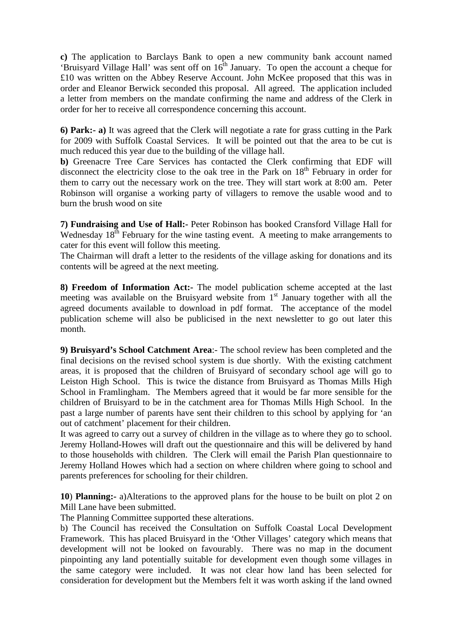**c)** The application to Barclays Bank to open a new community bank account named 'Bruisyard Village Hall' was sent off on  $16<sup>th</sup>$  January. To open the account a cheque for £10 was written on the Abbey Reserve Account. John McKee proposed that this was in order and Eleanor Berwick seconded this proposal. All agreed. The application included a letter from members on the mandate confirming the name and address of the Clerk in order for her to receive all correspondence concerning this account.

**6) Park:- a)** It was agreed that the Clerk will negotiate a rate for grass cutting in the Park for 2009 with Suffolk Coastal Services. It will be pointed out that the area to be cut is much reduced this year due to the building of the village hall.

**b)** Greenacre Tree Care Services has contacted the Clerk confirming that EDF will disconnect the electricity close to the oak tree in the Park on  $18<sup>th</sup>$  February in order for them to carry out the necessary work on the tree. They will start work at 8:00 am. Peter Robinson will organise a working party of villagers to remove the usable wood and to burn the brush wood on site

**7) Fundraising and Use of Hall:-** Peter Robinson has booked Cransford Village Hall for Wednesday  $18<sup>th</sup>$  February for the wine tasting event. A meeting to make arrangements to cater for this event will follow this meeting.

The Chairman will draft a letter to the residents of the village asking for donations and its contents will be agreed at the next meeting.

**8) Freedom of Information Act:-** The model publication scheme accepted at the last meeting was available on the Bruisyard website from  $1<sup>st</sup>$  January together with all the agreed documents available to download in pdf format. The acceptance of the model publication scheme will also be publicised in the next newsletter to go out later this month.

**9) Bruisyard's School Catchment Area**:- The school review has been completed and the final decisions on the revised school system is due shortly. With the existing catchment areas, it is proposed that the children of Bruisyard of secondary school age will go to Leiston High School. This is twice the distance from Bruisyard as Thomas Mills High School in Framlingham. The Members agreed that it would be far more sensible for the children of Bruisyard to be in the catchment area for Thomas Mills High School. In the past a large number of parents have sent their children to this school by applying for 'an out of catchment' placement for their children.

It was agreed to carry out a survey of children in the village as to where they go to school. Jeremy Holland-Howes will draft out the questionnaire and this will be delivered by hand to those households with children. The Clerk will email the Parish Plan questionnaire to Jeremy Holland Howes which had a section on where children where going to school and parents preferences for schooling for their children.

**10**) **Planning:-** a)Alterations to the approved plans for the house to be built on plot 2 on Mill Lane have been submitted.

The Planning Committee supported these alterations.

b) The Council has received the Consultation on Suffolk Coastal Local Development Framework. This has placed Bruisyard in the 'Other Villages' category which means that development will not be looked on favourably. There was no map in the document pinpointing any land potentially suitable for development even though some villages in the same category were included. It was not clear how land has been selected for consideration for development but the Members felt it was worth asking if the land owned